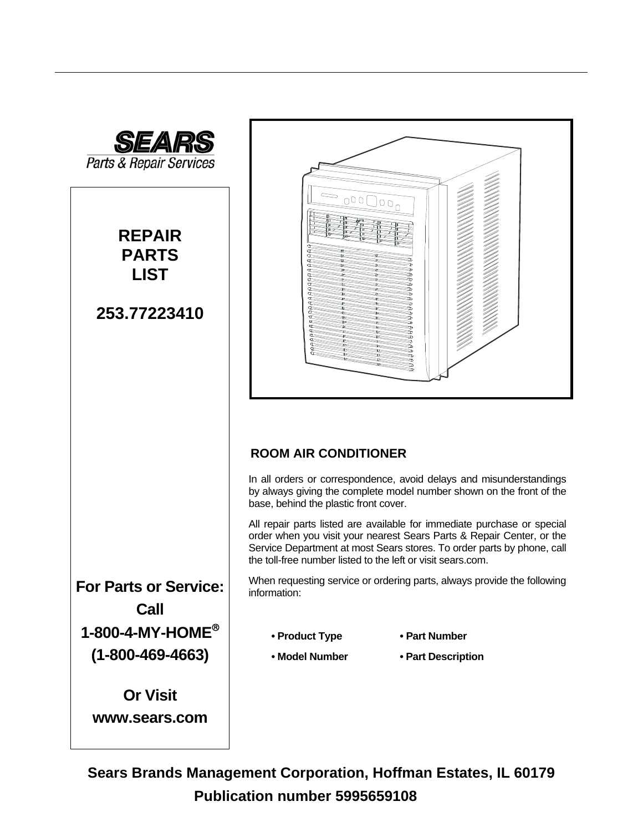

**Sears Brands Management Corporation, Hoffman Estates, IL 60179 Publication number 5995659108**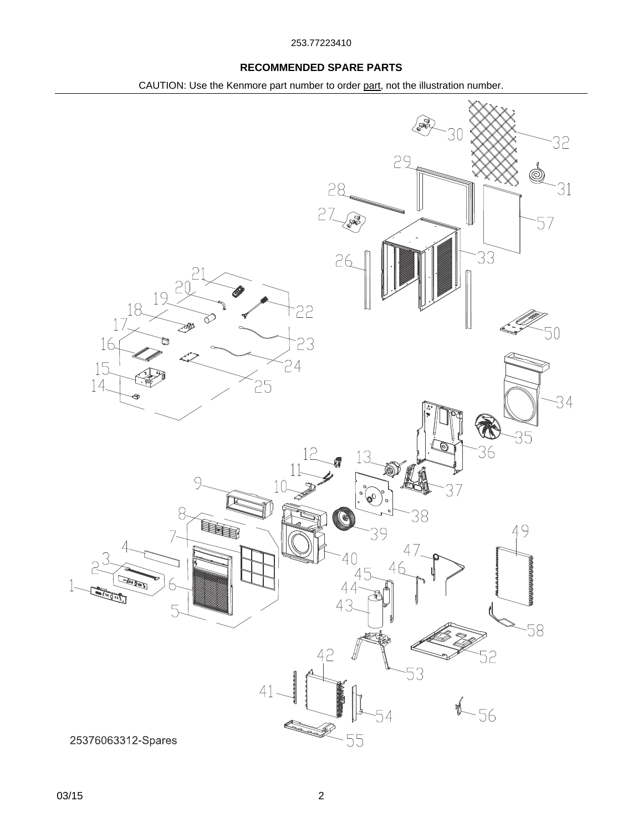### **RECOMMENDED SPARE PARTS**

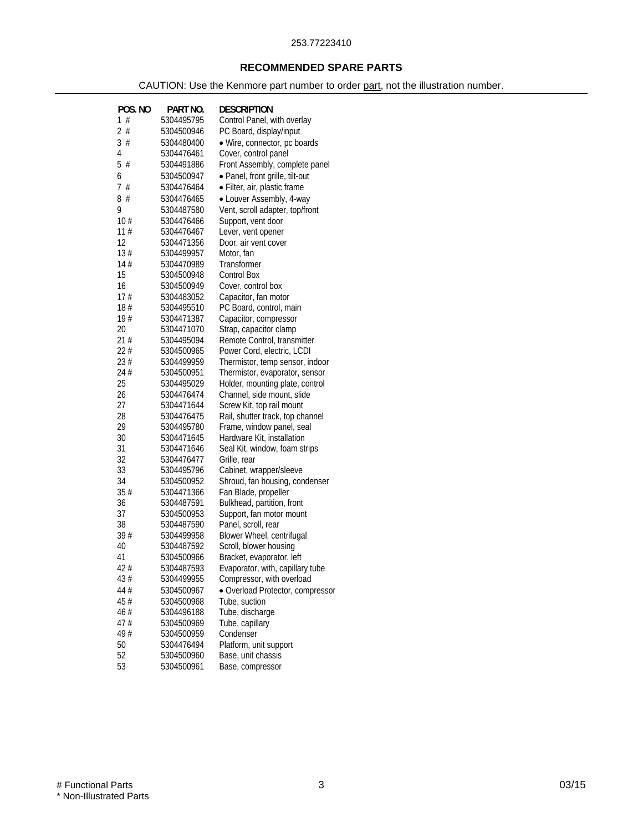### **RECOMMENDED SPARE PARTS**

| POS. NO | PART NO.   | <b>DESCRIPTION</b>               |
|---------|------------|----------------------------------|
| 1#      | 5304495795 | Control Panel, with overlay      |
| 2#      | 5304500946 | PC Board, display/input          |
| 3#      | 5304480400 | · Wire, connector, pc boards     |
| 4       | 5304476461 | Cover, control panel             |
| 5#      | 5304491886 | Front Assembly, complete panel   |
| 6       | 5304500947 | · Panel, front grille, tilt-out  |
| 7#      | 5304476464 | · Filter, air, plastic frame     |
| 8#      | 5304476465 | • Louver Assembly, 4-way         |
| 9       | 5304487580 | Vent, scroll adapter, top/front  |
| 10#     | 5304476466 | Support, vent door               |
| 11#     | 5304476467 | Lever, vent opener               |
| 12      | 5304471356 | Door, air vent cover             |
| 13#     | 5304499957 | Motor, fan                       |
| 14#     | 5304470989 | Transformer                      |
| 15      | 5304500948 | <b>Control Box</b>               |
| 16      | 5304500949 | Cover, control box               |
| 17#     | 5304483052 | Capacitor, fan motor             |
| 18#     | 5304495510 | PC Board, control, main          |
| 19#     | 5304471387 | Capacitor, compressor            |
| 20      | 5304471070 | Strap, capacitor clamp           |
| 21#     | 5304495094 | Remote Control, transmitter      |
| 22#     | 5304500965 | Power Cord, electric, LCDI       |
| 23#     | 5304499959 | Thermistor, temp sensor, indoor  |
| 24 #    | 5304500951 | Thermistor, evaporator, sensor   |
| 25      | 5304495029 | Holder, mounting plate, control  |
| 26      | 5304476474 | Channel, side mount, slide       |
| 27      | 5304471644 | Screw Kit, top rail mount        |
| 28      | 5304476475 | Rail, shutter track, top channel |
| 29      | 5304495780 | Frame, window panel, seal        |
| 30      | 5304471645 | Hardware Kit, installation       |
| 31      | 5304471646 | Seal Kit, window, foam strips    |
| 32      | 5304476477 | Grille, rear                     |
| 33      | 5304495796 | Cabinet, wrapper/sleeve          |
| 34      | 5304500952 | Shroud, fan housing, condenser   |
| 35#     | 5304471366 | Fan Blade, propeller             |
| 36      | 5304487591 | Bulkhead, partition, front       |
| 37      | 5304500953 | Support, fan motor mount         |
| 38      | 5304487590 | Panel, scroll, rear              |
| 39#     | 5304499958 | Blower Wheel, centrifugal        |
| 40      | 5304487592 | Scroll, blower housing           |
| 41      | 5304500966 | Bracket, evaporator, left        |
| 42#     | 5304487593 | Evaporator, with, capillary tube |
| 43#     | 5304499955 | Compressor, with overload        |
| 44#     | 5304500967 | • Overload Protector, compressor |
| 45#     | 5304500968 | Tube, suction                    |
| 46#     | 5304496188 | Tube, discharge                  |
| 47#     | 5304500969 | Tube, capillary                  |
| 49#     | 5304500959 | Condenser                        |
| 50      | 5304476494 | Platform, unit support           |
| 52      | 5304500960 | Base, unit chassis               |
| 53      | 5304500961 | Base, compressor                 |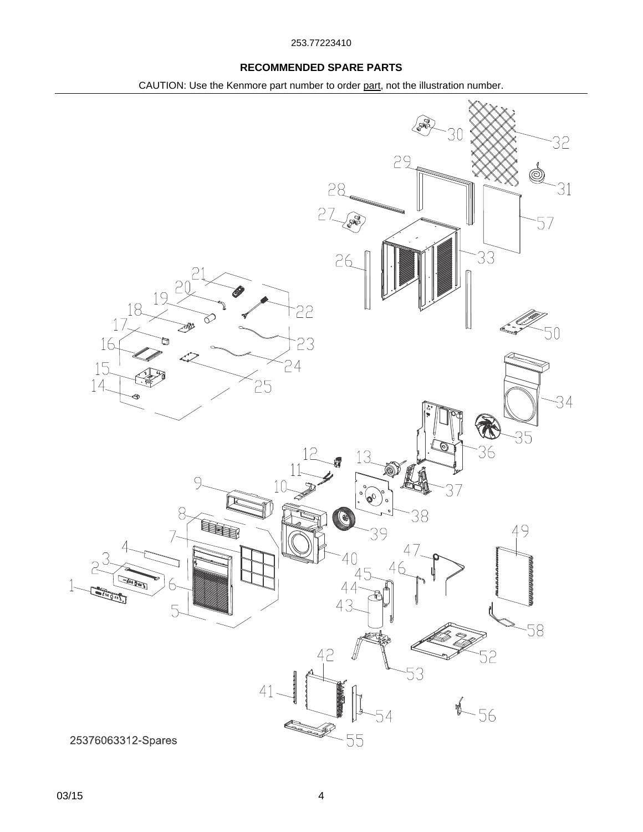### **RECOMMENDED SPARE PARTS**

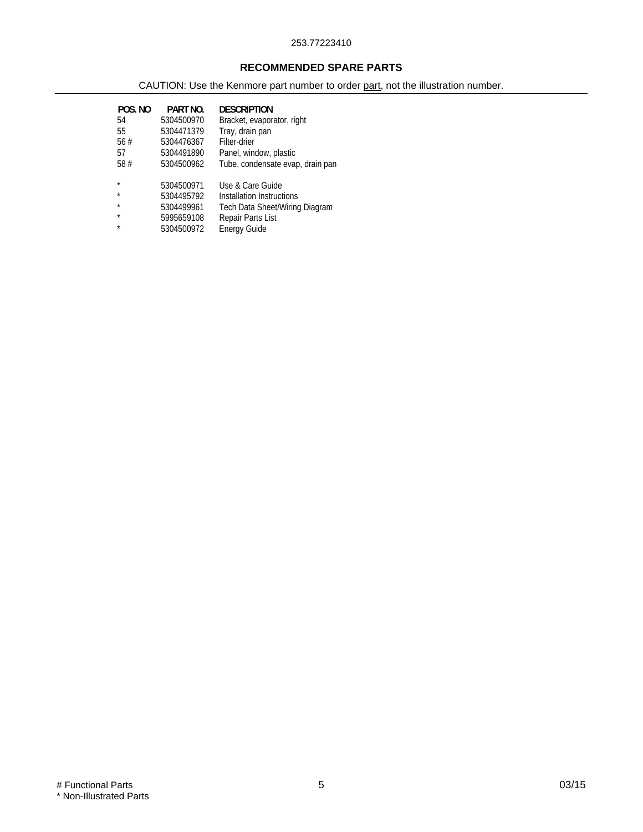### **RECOMMENDED SPARE PARTS**

| POS. NO<br>54<br>55<br>56#<br>57 | PART NO.<br>5304500970<br>5304471379<br>5304476367<br>5304491890 | <b>DESCRIPTION</b><br>Bracket, evaporator, right<br>Tray, drain pan<br>Filter-drier<br>Panel, window, plastic |
|----------------------------------|------------------------------------------------------------------|---------------------------------------------------------------------------------------------------------------|
| 58#                              | 5304500962                                                       | Tube, condensate evap, drain pan                                                                              |
| ÷                                | 5304500971                                                       | Use & Care Guide                                                                                              |
| $\star$                          | 5304495792                                                       | Installation Instructions                                                                                     |
| ÷                                | 5304499961                                                       | Tech Data Sheet/Wiring Diagram                                                                                |
| $\star$                          | 5995659108                                                       | Repair Parts List                                                                                             |
|                                  | 5304500972                                                       | <b>Energy Guide</b>                                                                                           |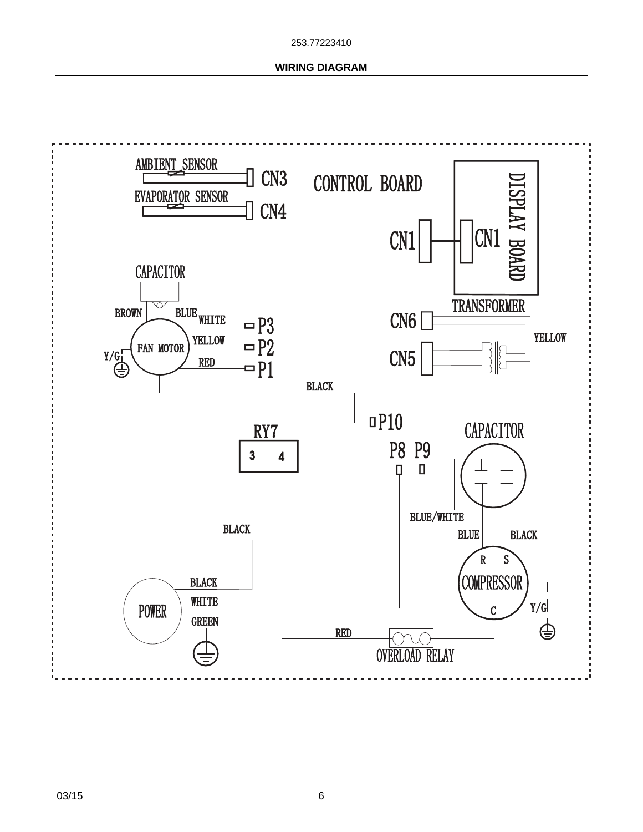